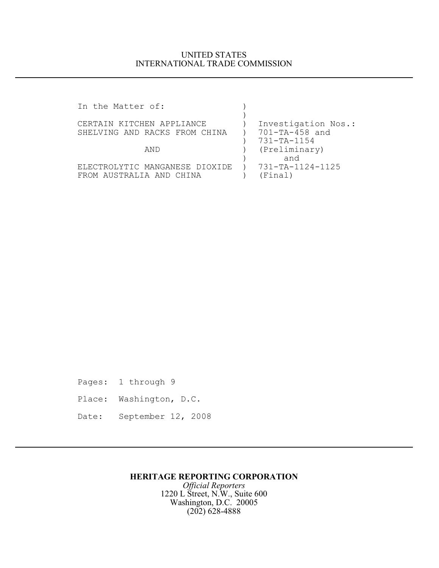## UNITED STATES INTERNATIONAL TRADE COMMISSION

| Investigation Nos.: |
|---------------------|
| 701-TA-458 and      |
| 731-TA-1154         |
| (Preliminary)       |
|                     |
| 731-TA-1124-1125    |
|                     |
|                     |

Pages: 1 through 9 Place: Washington, D.C. Date: September 12, 2008

## **HERITAGE REPORTING CORPORATION**

*Official Reporters* 1220 L Street, N.W., Suite 600 Washington, D.C. 20005 (202) 628-4888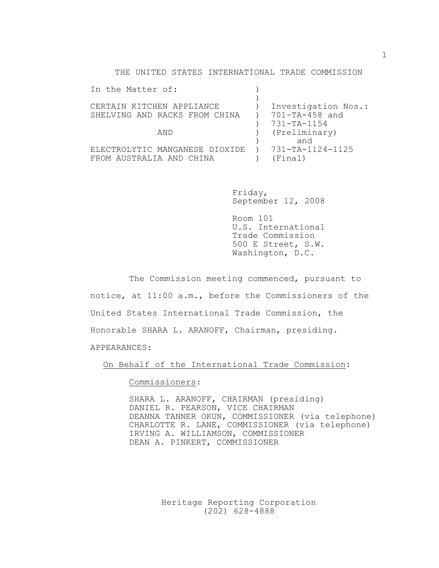THE UNITED STATES INTERNATIONAL TRADE COMMISSION

| In the Matter of:              |                     |
|--------------------------------|---------------------|
|                                |                     |
| CERTAIN KITCHEN APPLIANCE      | Investigation Nos.: |
| SHELVING AND RACKS FROM CHINA  | 701-TA-458 and      |
|                                | 731-TA-1154         |
| AND                            | (Preliminary)       |
|                                | and                 |
| ELECTROLYTIC MANGANESE DIOXIDE | 731-TA-1124-1125    |
| FROM AUSTRALIA AND CHINA       | (Final)             |
|                                |                     |

Friday, September 12, 2008

Room 101 U.S. International Trade Commission 500 E Street, S.W. Washington, D.C.

The Commission meeting commenced, pursuant to notice, at 11:00 a.m., before the Commissioners of the United States International Trade Commission, the Honorable SHARA L. ARANOFF, Chairman, presiding. APPEARANCES:

On Behalf of the International Trade Commission:

Commissioners:

SHARA L. ARANOFF, CHAIRMAN (presiding) DANIEL R. PEARSON, VICE CHAIRMAN DEANNA TANNER OKUN, COMMISSIONER (via telephone) CHARLOTTE R. LANE, COMMISSIONER (via telephone) IRVING A. WILLIAMSON, COMMISSIONER DEAN A. PINKERT, COMMISSIONER

> Heritage Reporting Corporation (202) 628-4888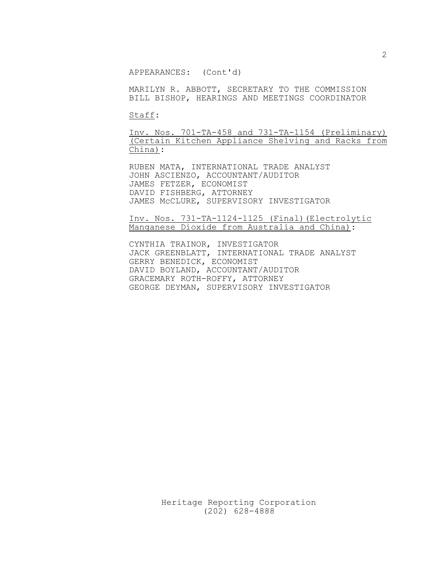APPEARANCES: (Cont'd)

MARILYN R. ABBOTT, SECRETARY TO THE COMMISSION BILL BISHOP, HEARINGS AND MEETINGS COORDINATOR

Staff:

Inv. Nos. 701-TA-458 and 731-TA-1154 (Preliminary) (Certain Kitchen Appliance Shelving and Racks from China):

RUBEN MATA, INTERNATIONAL TRADE ANALYST JOHN ASCIENZO, ACCOUNTANT/AUDITOR JAMES FETZER, ECONOMIST DAVID FISHBERG, ATTORNEY JAMES McCLURE, SUPERVISORY INVESTIGATOR

Inv. Nos. 731-TA-1124-1125 (Final)(Electrolytic Manganese Dioxide from Australia and China):

CYNTHIA TRAINOR, INVESTIGATOR JACK GREENBLATT, INTERNATIONAL TRADE ANALYST GERRY BENEDICK, ECONOMIST DAVID BOYLAND, ACCOUNTANT/AUDITOR GRACEMARY ROTH-ROFFY, ATTORNEY GEORGE DEYMAN, SUPERVISORY INVESTIGATOR

Heritage Reporting Corporation (202) 628-4888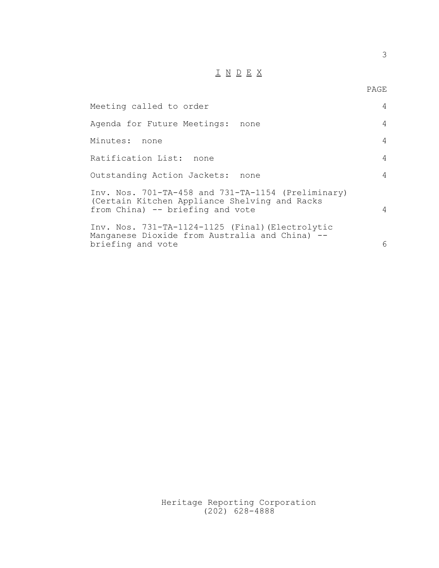## $\underline{\texttt{I}}\ \underline{\texttt{N}}\ \underline{\texttt{D}}\ \underline{\texttt{E}}\ \underline{\texttt{X}}$

| Meeting called to order                                                                                                                 | 4              |
|-----------------------------------------------------------------------------------------------------------------------------------------|----------------|
| Agenda for Future Meetings: none                                                                                                        | 4              |
| Minutes:<br>none                                                                                                                        | 4              |
| Ratification List: none                                                                                                                 | $\overline{4}$ |
| Outstanding Action Jackets:<br>none                                                                                                     | 4              |
| Inv. Nos. 701-TA-458 and 731-TA-1154 (Preliminary)<br>(Certain Kitchen Appliance Shelving and Racks<br>from China) -- briefing and vote | $\overline{4}$ |
| Inv. Nos. 731-TA-1124-1125 (Final) (Electrolytic<br>Manganese Dioxide from Australia and China) --<br>briefing and vote                 | 6              |

Heritage Reporting Corporation (202) 628-4888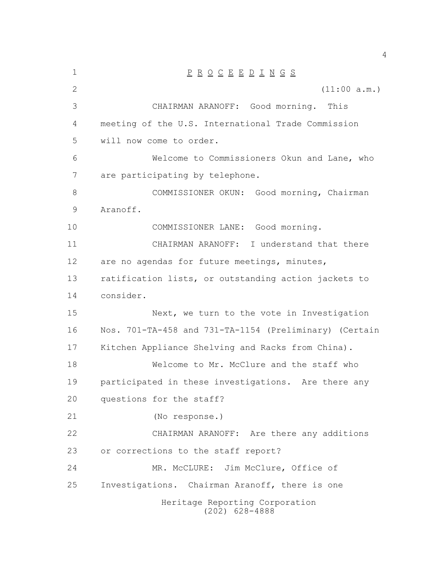| $\mathbf 1$ | $\underline{P} \underline{R} \underline{O} \underline{C} \underline{E} \underline{E} \underline{D} \underline{I} \underline{N} \underline{G} \underline{S}$ |
|-------------|-------------------------------------------------------------------------------------------------------------------------------------------------------------|
| 2           | (11:00 a.m.)                                                                                                                                                |
| 3           | CHAIRMAN ARANOFF: Good morning. This                                                                                                                        |
| 4           | meeting of the U.S. International Trade Commission                                                                                                          |
| 5           | will now come to order.                                                                                                                                     |
| 6           | Welcome to Commissioners Okun and Lane, who                                                                                                                 |
| 7           | are participating by telephone.                                                                                                                             |
| 8           | COMMISSIONER OKUN: Good morning, Chairman                                                                                                                   |
| 9           | Aranoff.                                                                                                                                                    |
| 10          | COMMISSIONER LANE: Good morning.                                                                                                                            |
| 11          | CHAIRMAN ARANOFF: I understand that there                                                                                                                   |
| 12          | are no agendas for future meetings, minutes,                                                                                                                |
| 13          | ratification lists, or outstanding action jackets to                                                                                                        |
| 14          | consider.                                                                                                                                                   |
| 15          | Next, we turn to the vote in Investigation                                                                                                                  |
| 16          | Nos. 701-TA-458 and 731-TA-1154 (Preliminary) (Certain                                                                                                      |
| 17          | Kitchen Appliance Shelving and Racks from China).                                                                                                           |
| 18          | Welcome to Mr. McClure and the staff who                                                                                                                    |
| 19          | participated in these investigations. Are there any                                                                                                         |
| 20          | questions for the staff?                                                                                                                                    |
| 21          | (No response.)                                                                                                                                              |
| 22          | CHAIRMAN ARANOFF: Are there any additions                                                                                                                   |
| 23          | or corrections to the staff report?                                                                                                                         |
| 24          | MR. McCLURE: Jim McClure, Office of                                                                                                                         |
| 25          | Investigations. Chairman Aranoff, there is one                                                                                                              |
|             | Heritage Reporting Corporation<br>$(202)$ 628-4888                                                                                                          |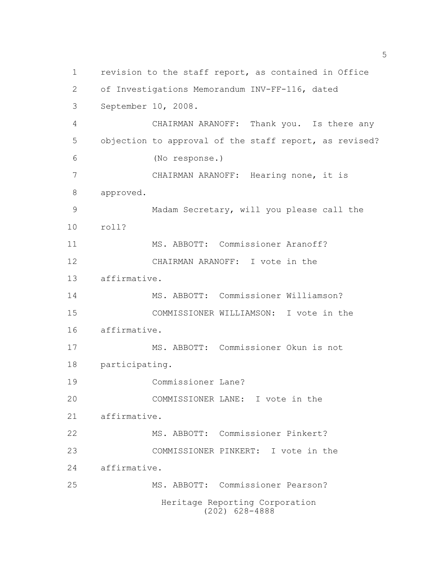Heritage Reporting Corporation (202) 628-4888 revision to the staff report, as contained in Office of Investigations Memorandum INV-FF-116, dated September 10, 2008. CHAIRMAN ARANOFF: Thank you. Is there any objection to approval of the staff report, as revised? (No response.) CHAIRMAN ARANOFF: Hearing none, it is approved. Madam Secretary, will you please call the roll? MS. ABBOTT: Commissioner Aranoff? CHAIRMAN ARANOFF: I vote in the affirmative. MS. ABBOTT: Commissioner Williamson? COMMISSIONER WILLIAMSON: I vote in the affirmative. MS. ABBOTT: Commissioner Okun is not participating. Commissioner Lane? COMMISSIONER LANE: I vote in the affirmative. MS. ABBOTT: Commissioner Pinkert? COMMISSIONER PINKERT: I vote in the affirmative. MS. ABBOTT: Commissioner Pearson?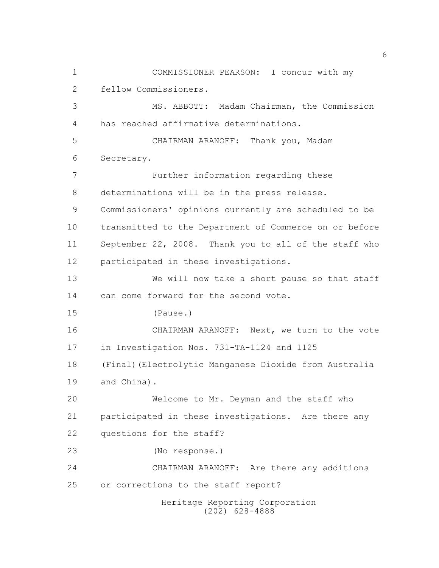Heritage Reporting Corporation (202) 628-4888 COMMISSIONER PEARSON: I concur with my fellow Commissioners. MS. ABBOTT: Madam Chairman, the Commission has reached affirmative determinations. CHAIRMAN ARANOFF: Thank you, Madam Secretary. Further information regarding these determinations will be in the press release. Commissioners' opinions currently are scheduled to be transmitted to the Department of Commerce on or before September 22, 2008. Thank you to all of the staff who participated in these investigations. We will now take a short pause so that staff can come forward for the second vote. (Pause.) CHAIRMAN ARANOFF: Next, we turn to the vote in Investigation Nos. 731-TA-1124 and 1125 (Final)(Electrolytic Manganese Dioxide from Australia and China). Welcome to Mr. Deyman and the staff who participated in these investigations. Are there any questions for the staff? (No response.) CHAIRMAN ARANOFF: Are there any additions or corrections to the staff report?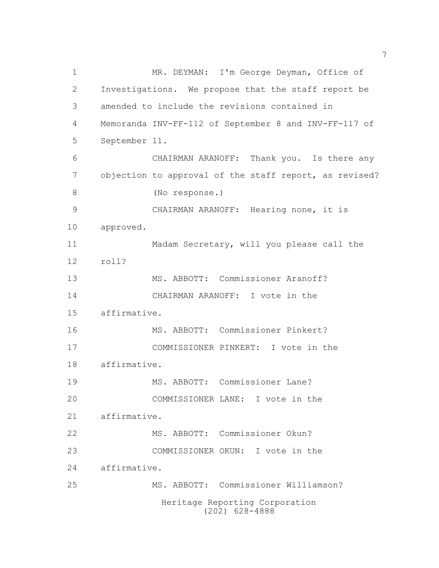Heritage Reporting Corporation (202) 628-4888 MR. DEYMAN: I'm George Deyman, Office of Investigations. We propose that the staff report be amended to include the revisions contained in Memoranda INV-FF-112 of September 8 and INV-FF-117 of September 11. CHAIRMAN ARANOFF: Thank you. Is there any objection to approval of the staff report, as revised? (No response.) CHAIRMAN ARANOFF: Hearing none, it is approved. Madam Secretary, will you please call the roll? MS. ABBOTT: Commissioner Aranoff? CHAIRMAN ARANOFF: I vote in the affirmative. MS. ABBOTT: Commissioner Pinkert? COMMISSIONER PINKERT: I vote in the affirmative. MS. ABBOTT: Commissioner Lane? COMMISSIONER LANE: I vote in the affirmative. MS. ABBOTT: Commissioner Okun? COMMISSIONER OKUN: I vote in the affirmative. MS. ABBOTT: Commissioner Williamson?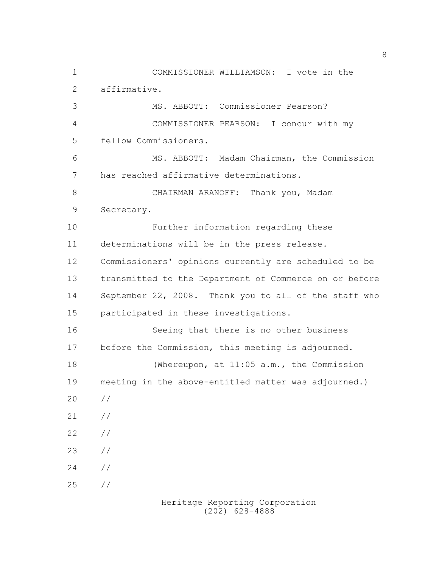COMMISSIONER WILLIAMSON: I vote in the affirmative. MS. ABBOTT: Commissioner Pearson? COMMISSIONER PEARSON: I concur with my fellow Commissioners. MS. ABBOTT: Madam Chairman, the Commission has reached affirmative determinations. CHAIRMAN ARANOFF: Thank you, Madam Secretary. Further information regarding these determinations will be in the press release. Commissioners' opinions currently are scheduled to be transmitted to the Department of Commerce on or before September 22, 2008. Thank you to all of the staff who participated in these investigations. Seeing that there is no other business before the Commission, this meeting is adjourned. (Whereupon, at 11:05 a.m., the Commission meeting in the above-entitled matter was adjourned.) // // // // // //

Heritage Reporting Corporation (202) 628-4888